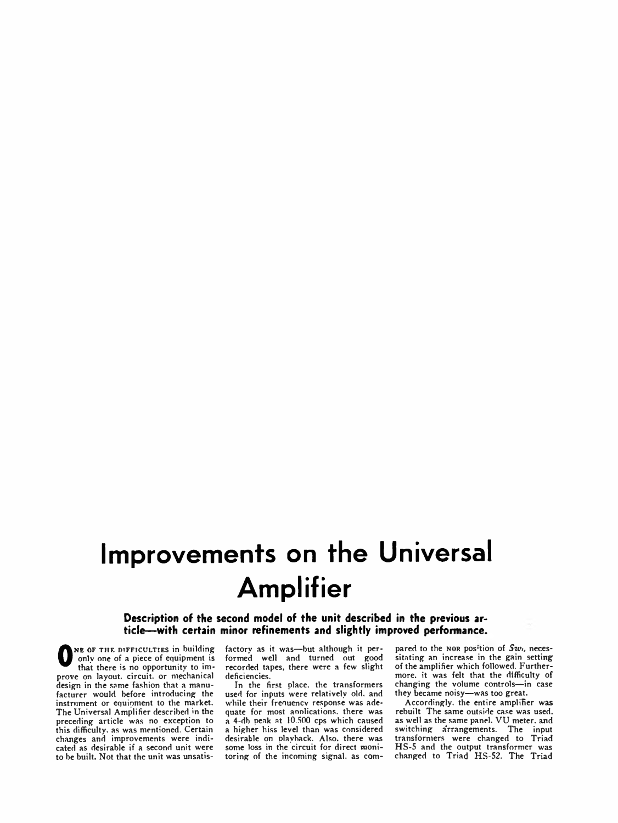## **Improvements on the Universal Amplifier**

**Description of the second model of the unit described in the previous article— with certain minor refinements and slightly improved performance.**

**O** only one of a piece of equipment is<br>that there is no opportunity to im-<br>prove on layout, circuit, or mechanical NE OF THE DIFFICULTIES in building only one of a piece of equipment is that there is no opportunity to imdesign in the same fashion that a manufacturer would before introducing the instrument or equipment to the market. The Universal Amplifier described in the preceding article was no exception to this difficulty, as was mentioned. Certain changes and improvements were indicated as desirable if a second unit were to be built. Not that the unit was unsatis-

factory as it was—but although it performed well and turned out good recorded tapes, there were a few slight deficiencies.

In the first place, the transformers used for inputs were relatively old. and while their frequency response was adequate for most annlications. there was a 4-db peak at 10.500 cps which caused a higher hiss level than was considered desirable on playback. Also, there was some loss in the circuit for direct monitoring of the incoming signal, as com-

pared to the NOR pos<sup>1</sup>tion of  $Sw_i$ , necessitating an increase in the gain setting of the amplifier which followed. Furthermore. it was felt that the difficulty of changing the volume controls—in case they became noisy—was too great.

Accordingly, the entire amplifier was rebuilt The same outside case was used, as well as the same panel. VU meter, and switching arrangements. The input transformers were changed to Triad HS-5 and the output transformer was changed to Triad HS-52. The Triad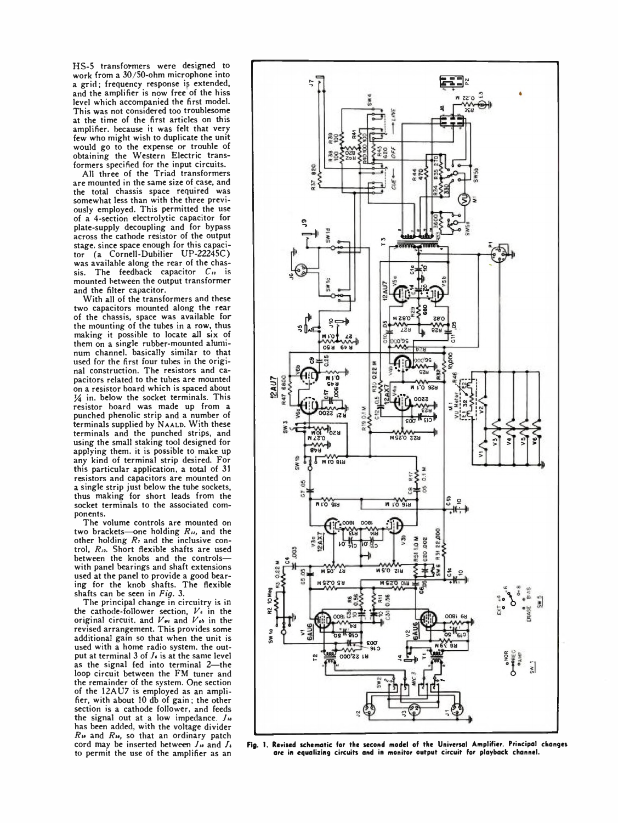HS-5 transformers were designed to work from a 30/50-ohm microphone into a grid; frequency response is extended, and the amplifier is now free of the hiss level which accompanied the first model. This was not considered too troublesome at the time of the first articles on this amplifier, because it was felt that very few who might wish to duplicate the unit would go to the expense or trouble of obtaining the Western Electric transformers specified for the input circuits.

All three of the Triad transformers are mounted in the same size of case, and the total chassis space required was somewhat less than with the three previously employed. This permitted the use of a 4-section electrolytic capacitor for plate-supply decoupling and for bypass across the cathode resistor of the output stage, since space enough for this capacitor (a Cornell-Dubilier UP-22245C) was available along the rear of the chassis. The feedback capacitor *Cn* is mounted between the output transformer and the filter capacitor.

With all of the transformers and these two capacitors mounted along the rear of the chassis, space was available for the mounting of the tubes in a row, thus making it possible to locate all six of them on a single rubber-mounted aluminum channel, basically similar to that used for the first four tubes in the original construction. The resistors and capacitors related to the tubes are mounted on a resistor board which is spaced about  $1/4$  in. below the socket terminals. This resistor board was made up from a punched phenolic strip and a number of terminals supplied by NAALD. With these terminals and the punched strips, and using the small staking tool designed for applying them, it is possible to make up any kind of terminal strip desired. For this particular application, a total of 31 resistors and capacitors are mounted on a single strip just below the tube sockets, thus making for short leads from the socket terminals to the associated components.

The volume controls are mounted on two brackets—one holding *Ru,* and the other holding  $R_1$  and the inclusive control, *Ru.* Short flexible shafts are used between the knobs and the controls with panel bearings and shaft extensions used at the panel to provide a good bearing for the knob shafts. The flexible shafts can be seen in *Fig.* 3.

The principal change in circuitry is in the cathode-follower section, *Vi* in the original circuit, and  $V_{\bullet\prime}$  and  $V_{\bullet}$  in the revised arrangement. This provides some additional gain so that when the unit is used with a home radio system, the output at terminal 3 of  $J<sub>t</sub>$  is at the same level as the signal fed into terminal 2—the loop circuit between the FM tuner and the remainder of the system. One section of the 12AU7 is employed as an amplifier, with about 10 db of gain; the other section is a cathode follower, and feeds the signal out at a low impedance.  $J_{\theta}$ has been added, with the voltage divider  $R_{\theta}$  and  $R_{\theta}$ , so that an ordinary patch cord may be inserted between  $J_{\theta}$  and  $J_{\theta}$ 



cord may be inserted between *J<sub>u</sub>* and *J<sub>k</sub>* Fig. 1. Revised schematic for the second model of the Universal Amplifier. Principal changes<br>to permit the use of the amplifier as an are in equalizing circuits and in monitor are in equalizing circuits and in monitor output circuit for playback channel.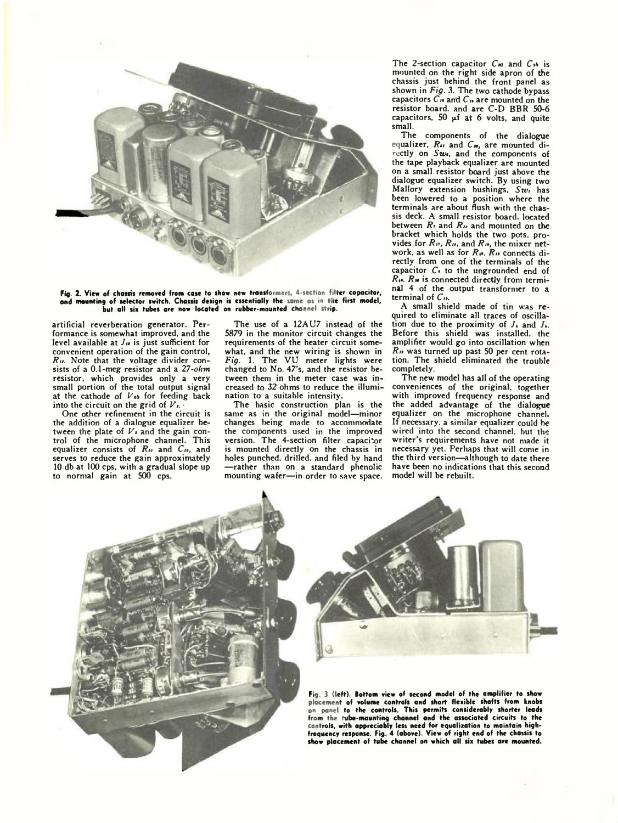

Fig. 2. View of chassis removed from case to show new transformers, 4-section filter copacitor, and mounting of selector switch. Chassis design is essentially the same as in the first model, but all six tubes are now located on rubber-mounted channel strip.

artificial reverberation generator. Performance is somewhat improved, and the level available at  $J<sub>w</sub>$  is just sufficient for convenient operation of the gain control, *Rn.* Note that the voltage divider consists of a 0.1-meg resistor and a *27-ohm* resistor, which provides only a very small portion of the total output signal at the cathode of  $V_{sb}$  for feeding back into the circuit on the grid of  $V_{\ell}$ .

One other refinement in the circuit is the addition of a dialogue equalizer between the plate of *Vi* and the gain control of the microphone channel. This equalizer consists of  $R_{ij}$  and  $C_{ij}$ , and serves to reduce the gain approximately 10 db at 100 cps, with a gradual slope up to normal gain at 500 cps.

The use of a 12AU7 instead of the 5879 in the monitor circuit changes the requirements of the heater circuit somewhat, and the new wiring is shown in *Fig.* 1. The VU meter lights were changed to No. 47's, and the resistor between them in the meter case was increased to 32 ohms to reduce the illumination to a suitable intensity.

The basic construction plan is the same as in the original model—minor changes being made to accommodate the components used in the improved version. The 4-section filter capacitor is mounted directly on the chassis in holes punched, drilled, and filed by hand —rather than on a standard phenolic mounting wafer—in order to save space.

The 2-section capacitor C<sub>no</sub> and C<sub>3b</sub> is mounted on the right side apron of the chassis just behind the front panel as shown in *Fig.* 3. The two cathode bypass capacitors  $\tilde{C}_{\mu}$  and  $C_{\mu}$  are mounted on the resistor board, and are C-D BBR 50-6 capacitors,  $50 \mu f$  at 6 volts, and quite small.

The components of the dialogue equalizer, *Rn* and *Cm,* are mounted directly on Swe, and the components of the tape playback equalizer are mounted on a small resistor board just above the dialogue equalizer switch. By using two Mallory extension bushings, *Swi* has been lowered to a position where the terminals are about flush with the chassis deck. A small resistor board, located between *R\** and *Rn* and mounted on the bracket which holds the two pots, provides for  $R_n$ ,  $R_n$ , and  $R_n$ , the mixer network, as well as for  $R_{\theta}$ ,  $R_{\theta}$  connects directly from one of the terminals of the capacitor  $C_0$  to the ungrounded end of *Rn. Ru* is connected directly from terminal 4 of the output transformer to a terminal of C».

A small shield made of tin was required to eliminate all traces of oscillation due to the proximity of  $J_k$  and  $J_k$ . Before this shield was installed, the amplifier would go into oscillation when *Rn* was turned up past 50 per cent rotation. The shield eliminated the trouble completely.

The new model has all of the operating conveniences of the original, together with improved frequency response and the added advantage of the dialogue equalizer on the microphone channel. If necessary, a similar equalizer could be wired into the second channel, but the writer's requirements have not made it necessary yet. Perhaps that will come in the third version—although to date there have been no indications that this second model will be rebuilt.





Fig. 3 (left). Bottom view of second model of the amplifier to show placement of volume controls and short flexible shafts from knobs on panel to the controls. This permits considerably shorter leads<br>from the tube-maunting channel and the associated circuits to the<br>controls, with appreciably less need for equalization to maintain high-<br>frequency response show placement of tube channel on which all six tubes are mounted.